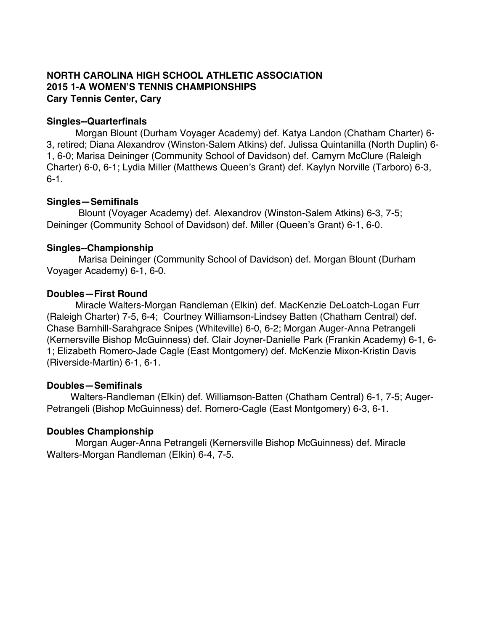# **NORTH CAROLINA HIGH SCHOOL ATHLETIC ASSOCIATION 2015 1-A WOMEN'S TENNIS CHAMPIONSHIPS Cary Tennis Center, Cary**

## **Singles--Quarterfinals**

Morgan Blount (Durham Voyager Academy) def. Katya Landon (Chatham Charter) 6- 3, retired; Diana Alexandrov (Winston-Salem Atkins) def. Julissa Quintanilla (North Duplin) 6- 1, 6-0; Marisa Deininger (Community School of Davidson) def. Camyrn McClure (Raleigh Charter) 6-0, 6-1; Lydia Miller (Matthews Queen's Grant) def. Kaylyn Norville (Tarboro) 6-3, 6-1.

# **Singles—Semifinals**

Blount (Voyager Academy) def. Alexandrov (Winston-Salem Atkins) 6-3, 7-5; Deininger (Community School of Davidson) def. Miller (Queen's Grant) 6-1, 6-0.

# **Singles--Championship**

Marisa Deininger (Community School of Davidson) def. Morgan Blount (Durham Voyager Academy) 6-1, 6-0.

# **Doubles—First Round**

Miracle Walters-Morgan Randleman (Elkin) def. MacKenzie DeLoatch-Logan Furr (Raleigh Charter) 7-5, 6-4; Courtney Williamson-Lindsey Batten (Chatham Central) def. Chase Barnhill-Sarahgrace Snipes (Whiteville) 6-0, 6-2; Morgan Auger-Anna Petrangeli (Kernersville Bishop McGuinness) def. Clair Joyner-Danielle Park (Frankin Academy) 6-1, 6- 1; Elizabeth Romero-Jade Cagle (East Montgomery) def. McKenzie Mixon-Kristin Davis (Riverside-Martin) 6-1, 6-1.

## **Doubles—Semifinals**

Walters-Randleman (Elkin) def. Williamson-Batten (Chatham Central) 6-1, 7-5; Auger-Petrangeli (Bishop McGuinness) def. Romero-Cagle (East Montgomery) 6-3, 6-1.

# **Doubles Championship**

Morgan Auger-Anna Petrangeli (Kernersville Bishop McGuinness) def. Miracle Walters-Morgan Randleman (Elkin) 6-4, 7-5.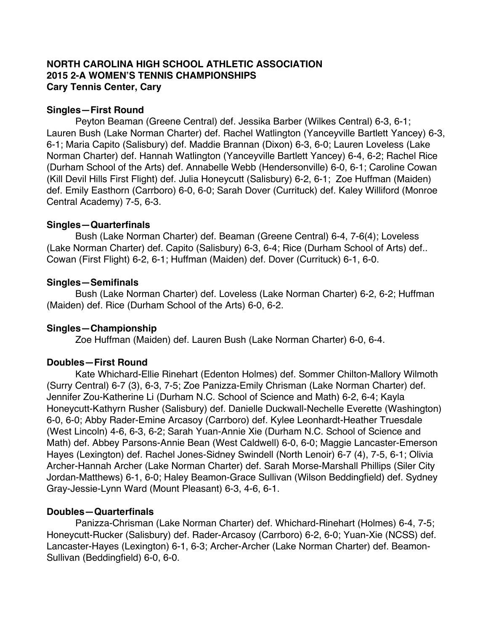## **NORTH CAROLINA HIGH SCHOOL ATHLETIC ASSOCIATION 2015 2-A WOMEN'S TENNIS CHAMPIONSHIPS Cary Tennis Center, Cary**

#### **Singles—First Round**

Peyton Beaman (Greene Central) def. Jessika Barber (Wilkes Central) 6-3, 6-1; Lauren Bush (Lake Norman Charter) def. Rachel Watlington (Yanceyville Bartlett Yancey) 6-3, 6-1; Maria Capito (Salisbury) def. Maddie Brannan (Dixon) 6-3, 6-0; Lauren Loveless (Lake Norman Charter) def. Hannah Watlington (Yanceyville Bartlett Yancey) 6-4, 6-2; Rachel Rice (Durham School of the Arts) def. Annabelle Webb (Hendersonville) 6-0, 6-1; Caroline Cowan (Kill Devil Hills First Flight) def. Julia Honeycutt (Salisbury) 6-2, 6-1; Zoe Huffman (Maiden) def. Emily Easthorn (Carrboro) 6-0, 6-0; Sarah Dover (Currituck) def. Kaley Williford (Monroe Central Academy) 7-5, 6-3.

#### **Singles—Quarterfinals**

Bush (Lake Norman Charter) def. Beaman (Greene Central) 6-4, 7-6(4); Loveless (Lake Norman Charter) def. Capito (Salisbury) 6-3, 6-4; Rice (Durham School of Arts) def.. Cowan (First Flight) 6-2, 6-1; Huffman (Maiden) def. Dover (Currituck) 6-1, 6-0.

#### **Singles—Semifinals**

Bush (Lake Norman Charter) def. Loveless (Lake Norman Charter) 6-2, 6-2; Huffman (Maiden) def. Rice (Durham School of the Arts) 6-0, 6-2.

## **Singles—Championship**

Zoe Huffman (Maiden) def. Lauren Bush (Lake Norman Charter) 6-0, 6-4.

#### **Doubles—First Round**

Kate Whichard-Ellie Rinehart (Edenton Holmes) def. Sommer Chilton-Mallory Wilmoth (Surry Central) 6-7 (3), 6-3, 7-5; Zoe Panizza-Emily Chrisman (Lake Norman Charter) def. Jennifer Zou-Katherine Li (Durham N.C. School of Science and Math) 6-2, 6-4; Kayla Honeycutt-Kathyrn Rusher (Salisbury) def. Danielle Duckwall-Nechelle Everette (Washington) 6-0, 6-0; Abby Rader-Emine Arcasoy (Carrboro) def. Kylee Leonhardt-Heather Truesdale (West Lincoln) 4-6, 6-3, 6-2; Sarah Yuan-Annie Xie (Durham N.C. School of Science and Math) def. Abbey Parsons-Annie Bean (West Caldwell) 6-0, 6-0; Maggie Lancaster-Emerson Hayes (Lexington) def. Rachel Jones-Sidney Swindell (North Lenoir) 6-7 (4), 7-5, 6-1; Olivia Archer-Hannah Archer (Lake Norman Charter) def. Sarah Morse-Marshall Phillips (Siler City Jordan-Matthews) 6-1, 6-0; Haley Beamon-Grace Sullivan (Wilson Beddingfield) def. Sydney Gray-Jessie-Lynn Ward (Mount Pleasant) 6-3, 4-6, 6-1.

## **Doubles—Quarterfinals**

Panizza-Chrisman (Lake Norman Charter) def. Whichard-Rinehart (Holmes) 6-4, 7-5; Honeycutt-Rucker (Salisbury) def. Rader-Arcasoy (Carrboro) 6-2, 6-0; Yuan-Xie (NCSS) def. Lancaster-Hayes (Lexington) 6-1, 6-3; Archer-Archer (Lake Norman Charter) def. Beamon-Sullivan (Beddingfield) 6-0, 6-0.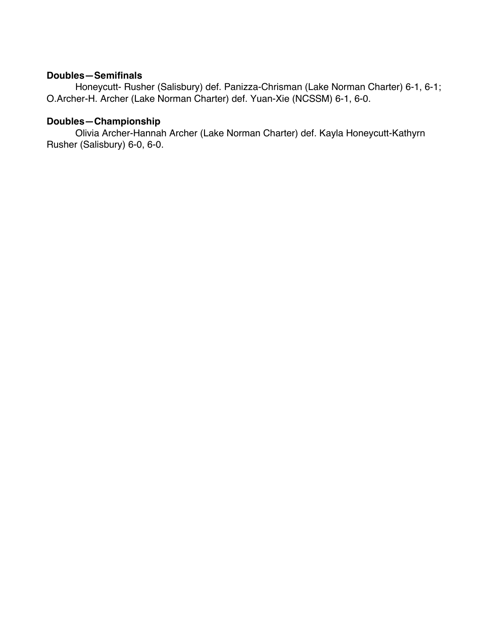# **Doubles—Semifinals**

Honeycutt- Rusher (Salisbury) def. Panizza-Chrisman (Lake Norman Charter) 6-1, 6-1; O.Archer-H. Archer (Lake Norman Charter) def. Yuan-Xie (NCSSM) 6-1, 6-0.

# **Doubles—Championship**

Olivia Archer-Hannah Archer (Lake Norman Charter) def. Kayla Honeycutt-Kathyrn Rusher (Salisbury) 6-0, 6-0.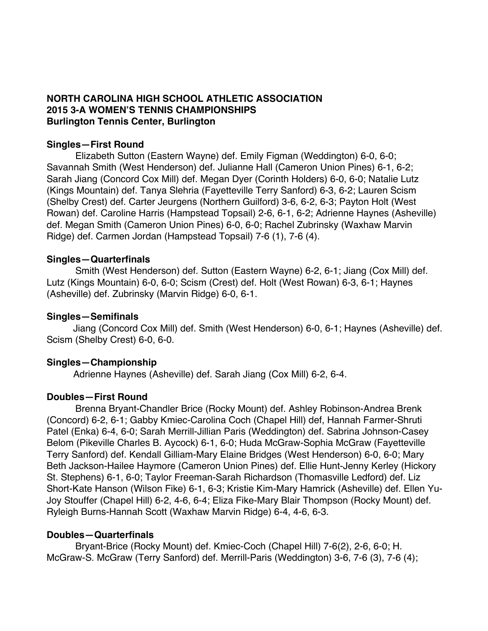## **NORTH CAROLINA HIGH SCHOOL ATHLETIC ASSOCIATION 2015 3-A WOMEN'S TENNIS CHAMPIONSHIPS Burlington Tennis Center, Burlington**

## **Singles—First Round**

Elizabeth Sutton (Eastern Wayne) def. Emily Figman (Weddington) 6-0, 6-0; Savannah Smith (West Henderson) def. Julianne Hall (Cameron Union Pines) 6-1, 6-2; Sarah Jiang (Concord Cox Mill) def. Megan Dyer (Corinth Holders) 6-0, 6-0; Natalie Lutz (Kings Mountain) def. Tanya Slehria (Fayetteville Terry Sanford) 6-3, 6-2; Lauren Scism (Shelby Crest) def. Carter Jeurgens (Northern Guilford) 3-6, 6-2, 6-3; Payton Holt (West Rowan) def. Caroline Harris (Hampstead Topsail) 2-6, 6-1, 6-2; Adrienne Haynes (Asheville) def. Megan Smith (Cameron Union Pines) 6-0, 6-0; Rachel Zubrinsky (Waxhaw Marvin Ridge) def. Carmen Jordan (Hampstead Topsail) 7-6 (1), 7-6 (4).

## **Singles—Quarterfinals**

Smith (West Henderson) def. Sutton (Eastern Wayne) 6-2, 6-1; Jiang (Cox Mill) def. Lutz (Kings Mountain) 6-0, 6-0; Scism (Crest) def. Holt (West Rowan) 6-3, 6-1; Haynes (Asheville) def. Zubrinsky (Marvin Ridge) 6-0, 6-1.

#### **Singles—Semifinals**

 Jiang (Concord Cox Mill) def. Smith (West Henderson) 6-0, 6-1; Haynes (Asheville) def. Scism (Shelby Crest) 6-0, 6-0.

## **Singles—Championship**

Adrienne Haynes (Asheville) def. Sarah Jiang (Cox Mill) 6-2, 6-4.

## **Doubles—First Round**

Brenna Bryant-Chandler Brice (Rocky Mount) def. Ashley Robinson-Andrea Brenk (Concord) 6-2, 6-1; Gabby Kmiec-Carolina Coch (Chapel Hill) def, Hannah Farmer-Shruti Patel (Enka) 6-4, 6-0; Sarah Merrill-Jillian Paris (Weddington) def. Sabrina Johnson-Casey Belom (Pikeville Charles B. Aycock) 6-1, 6-0; Huda McGraw-Sophia McGraw (Fayetteville Terry Sanford) def. Kendall Gilliam-Mary Elaine Bridges (West Henderson) 6-0, 6-0; Mary Beth Jackson-Hailee Haymore (Cameron Union Pines) def. Ellie Hunt-Jenny Kerley (Hickory St. Stephens) 6-1, 6-0; Taylor Freeman-Sarah Richardson (Thomasville Ledford) def. Liz Short-Kate Hanson (Wilson Fike) 6-1, 6-3; Kristie Kim-Mary Hamrick (Asheville) def. Ellen Yu-Joy Stouffer (Chapel Hill) 6-2, 4-6, 6-4; Eliza Fike-Mary Blair Thompson (Rocky Mount) def. Ryleigh Burns-Hannah Scott (Waxhaw Marvin Ridge) 6-4, 4-6, 6-3.

## **Doubles—Quarterfinals**

Bryant-Brice (Rocky Mount) def. Kmiec-Coch (Chapel Hill) 7-6(2), 2-6, 6-0; H. McGraw-S. McGraw (Terry Sanford) def. Merrill-Paris (Weddington) 3-6, 7-6 (3), 7-6 (4);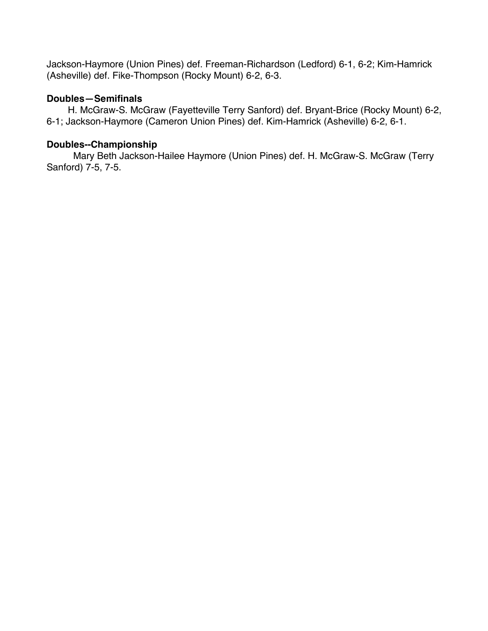Jackson-Haymore (Union Pines) def. Freeman-Richardson (Ledford) 6-1, 6-2; Kim-Hamrick (Asheville) def. Fike-Thompson (Rocky Mount) 6-2, 6-3.

# **Doubles—Semifinals**

 H. McGraw-S. McGraw (Fayetteville Terry Sanford) def. Bryant-Brice (Rocky Mount) 6-2, 6-1; Jackson-Haymore (Cameron Union Pines) def. Kim-Hamrick (Asheville) 6-2, 6-1.

# **Doubles--Championship**

 Mary Beth Jackson-Hailee Haymore (Union Pines) def. H. McGraw-S. McGraw (Terry Sanford) 7-5, 7-5.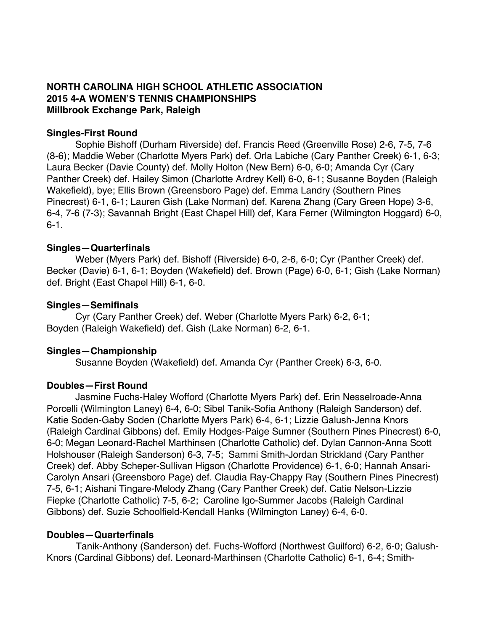# **NORTH CAROLINA HIGH SCHOOL ATHLETIC ASSOCIATION 2015 4-A WOMEN'S TENNIS CHAMPIONSHIPS Millbrook Exchange Park, Raleigh**

## **Singles-First Round**

Sophie Bishoff (Durham Riverside) def. Francis Reed (Greenville Rose) 2-6, 7-5, 7-6 (8-6); Maddie Weber (Charlotte Myers Park) def. Orla Labiche (Cary Panther Creek) 6-1, 6-3; Laura Becker (Davie County) def. Molly Holton (New Bern) 6-0, 6-0; Amanda Cyr (Cary Panther Creek) def. Hailey Simon (Charlotte Ardrey Kell) 6-0, 6-1; Susanne Boyden (Raleigh Wakefield), bye; Ellis Brown (Greensboro Page) def. Emma Landry (Southern Pines Pinecrest) 6-1, 6-1; Lauren Gish (Lake Norman) def. Karena Zhang (Cary Green Hope) 3-6, 6-4, 7-6 (7-3); Savannah Bright (East Chapel Hill) def, Kara Ferner (Wilmington Hoggard) 6-0, 6-1.

#### **Singles—Quarterfinals**

Weber (Myers Park) def. Bishoff (Riverside) 6-0, 2-6, 6-0; Cyr (Panther Creek) def. Becker (Davie) 6-1, 6-1; Boyden (Wakefield) def. Brown (Page) 6-0, 6-1; Gish (Lake Norman) def. Bright (East Chapel Hill) 6-1, 6-0.

#### **Singles—Semifinals**

Cyr (Cary Panther Creek) def. Weber (Charlotte Myers Park) 6-2, 6-1; Boyden (Raleigh Wakefield) def. Gish (Lake Norman) 6-2, 6-1.

## **Singles—Championship**

Susanne Boyden (Wakefield) def. Amanda Cyr (Panther Creek) 6-3, 6-0.

## **Doubles—First Round**

Jasmine Fuchs-Haley Wofford (Charlotte Myers Park) def. Erin Nesselroade-Anna Porcelli (Wilmington Laney) 6-4, 6-0; Sibel Tanik-Sofia Anthony (Raleigh Sanderson) def. Katie Soden-Gaby Soden (Charlotte Myers Park) 6-4, 6-1; Lizzie Galush-Jenna Knors (Raleigh Cardinal Gibbons) def. Emily Hodges-Paige Sumner (Southern Pines Pinecrest) 6-0, 6-0; Megan Leonard-Rachel Marthinsen (Charlotte Catholic) def. Dylan Cannon-Anna Scott Holshouser (Raleigh Sanderson) 6-3, 7-5; Sammi Smith-Jordan Strickland (Cary Panther Creek) def. Abby Scheper-Sullivan Higson (Charlotte Providence) 6-1, 6-0; Hannah Ansari-Carolyn Ansari (Greensboro Page) def. Claudia Ray-Chappy Ray (Southern Pines Pinecrest) 7-5, 6-1; Aishani Tingare-Melody Zhang (Cary Panther Creek) def. Catie Nelson-Lizzie Fiepke (Charlotte Catholic) 7-5, 6-2; Caroline Igo-Summer Jacobs (Raleigh Cardinal Gibbons) def. Suzie Schoolfield-Kendall Hanks (Wilmington Laney) 6-4, 6-0.

## **Doubles—Quarterfinals**

 Tanik-Anthony (Sanderson) def. Fuchs-Wofford (Northwest Guilford) 6-2, 6-0; Galush-Knors (Cardinal Gibbons) def. Leonard-Marthinsen (Charlotte Catholic) 6-1, 6-4; Smith-